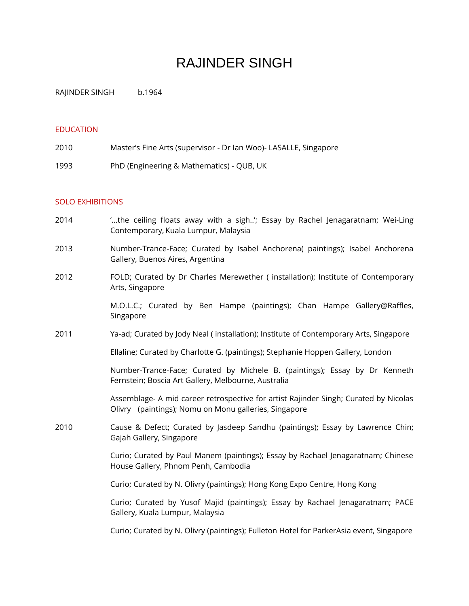# RAJINDER SINGH

RAJINDER SINGH b.1964

## EDUCATION

| 2010 | Master's Fine Arts (supervisor - Dr Ian Woo)- LASALLE, Singapore |
|------|------------------------------------------------------------------|
| 1993 | PhD (Engineering & Mathematics) - QUB, UK                        |

## SOLO EXHIBITIONS

- 2014 '…the ceiling floats away with a sigh..'; Essay by Rachel Jenagaratnam; Wei-Ling Contemporary, Kuala Lumpur, Malaysia
- 2013 Number-Trance-Face; Curated by Isabel Anchorena( paintings); Isabel Anchorena Gallery, Buenos Aires, Argentina
- 2012 FOLD; Curated by Dr Charles Merewether ( installation); Institute of Contemporary Arts, Singapore

M.O.L.C.; Curated by Ben Hampe (paintings); Chan Hampe Gallery@Raffles, Singapore

2011 Ya-ad; Curated by Jody Neal ( installation); Institute of Contemporary Arts, Singapore

Ellaline; Curated by Charlotte G. (paintings); Stephanie Hoppen Gallery, London

Number-Trance-Face; Curated by Michele B. (paintings); Essay by Dr Kenneth Fernstein; Boscia Art Gallery, Melbourne, Australia

Assemblage- A mid career retrospective for artist Rajinder Singh; Curated by Nicolas Olivry (paintings); Nomu on Monu galleries, Singapore

2010 Cause & Defect; Curated by Jasdeep Sandhu (paintings); Essay by Lawrence Chin; Gajah Gallery, Singapore

> Curio; Curated by Paul Manem (paintings); Essay by Rachael Jenagaratnam; Chinese House Gallery, Phnom Penh, Cambodia

Curio; Curated by N. Olivry (paintings); Hong Kong Expo Centre, Hong Kong

Curio; Curated by Yusof Majid (paintings); Essay by Rachael Jenagaratnam; PACE Gallery, Kuala Lumpur, Malaysia

Curio; Curated by N. Olivry (paintings); Fulleton Hotel for ParkerAsia event, Singapore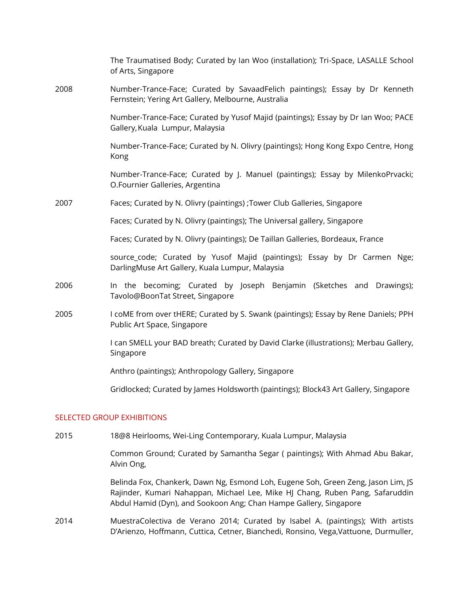|      | The Traumatised Body; Curated by Ian Woo (installation); Tri-Space, LASALLE School<br>of Arts, Singapore                           |
|------|------------------------------------------------------------------------------------------------------------------------------------|
| 2008 | Number-Trance-Face; Curated by SavaadFelich paintings); Essay by Dr Kenneth<br>Fernstein; Yering Art Gallery, Melbourne, Australia |
|      | Number-Trance-Face; Curated by Yusof Majid (paintings); Essay by Dr Ian Woo; PACE<br>Gallery, Kuala Lumpur, Malaysia               |
|      | Number-Trance-Face; Curated by N. Olivry (paintings); Hong Kong Expo Centre, Hong<br>Kong                                          |
|      | Number-Trance-Face; Curated by J. Manuel (paintings); Essay by MilenkoPrvacki;<br>O.Fournier Galleries, Argentina                  |
| 2007 | Faces; Curated by N. Olivry (paintings) ; Tower Club Galleries, Singapore                                                          |
|      | Faces; Curated by N. Olivry (paintings); The Universal gallery, Singapore                                                          |
|      | Faces; Curated by N. Olivry (paintings); De Taillan Galleries, Bordeaux, France                                                    |
|      | source_code; Curated by Yusof Majid (paintings); Essay by Dr Carmen Nge;<br>DarlingMuse Art Gallery, Kuala Lumpur, Malaysia        |
| 2006 | In the becoming; Curated by Joseph Benjamin (Sketches and Drawings);<br>Tavolo@BoonTat Street, Singapore                           |
| 2005 | I coME from over tHERE; Curated by S. Swank (paintings); Essay by Rene Daniels; PPH<br>Public Art Space, Singapore                 |
|      | I can SMELL your BAD breath; Curated by David Clarke (illustrations); Merbau Gallery,<br>Singapore                                 |
|      | Anthro (paintings); Anthropology Gallery, Singapore                                                                                |
|      | Gridlocked; Curated by James Holdsworth (paintings); Block43 Art Gallery, Singapore                                                |
|      |                                                                                                                                    |

### SELECTED GROUP EXHIBITIONS

2015 18@8 Heirlooms, Wei-Ling Contemporary, Kuala Lumpur, Malaysia

Common Ground; Curated by Samantha Segar ( paintings); With Ahmad Abu Bakar, Alvin Ong,

Belinda Fox, Chankerk, Dawn Ng, Esmond Loh, Eugene Soh, Green Zeng, Jason Lim, JS Rajinder, Kumari Nahappan, Michael Lee, Mike HJ Chang, Ruben Pang, Safaruddin Abdul Hamid (Dyn), and Sookoon Ang; Chan Hampe Gallery, Singapore

2014 MuestraColectiva de Verano 2014; Curated by Isabel A. (paintings); With artists D'Arienzo, Hoffmann, Cuttica, Cetner, Bianchedi, Ronsino, Vega,Vattuone, Durmuller,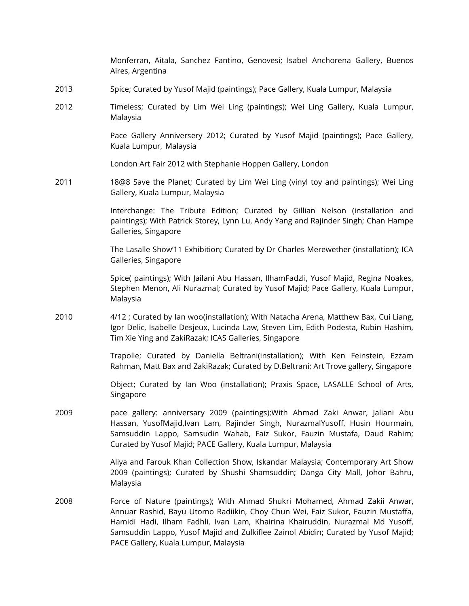|      | Monferran, Aitala, Sanchez Fantino, Genovesi; Isabel Anchorena Gallery, Buenos<br>Aires, Argentina                                                                                                                                                                                                                                                                          |
|------|-----------------------------------------------------------------------------------------------------------------------------------------------------------------------------------------------------------------------------------------------------------------------------------------------------------------------------------------------------------------------------|
| 2013 | Spice; Curated by Yusof Majid (paintings); Pace Gallery, Kuala Lumpur, Malaysia                                                                                                                                                                                                                                                                                             |
| 2012 | Timeless; Curated by Lim Wei Ling (paintings); Wei Ling Gallery, Kuala Lumpur,<br>Malaysia                                                                                                                                                                                                                                                                                  |
|      | Pace Gallery Anniversery 2012; Curated by Yusof Majid (paintings); Pace Gallery,<br>Kuala Lumpur, Malaysia                                                                                                                                                                                                                                                                  |
|      | London Art Fair 2012 with Stephanie Hoppen Gallery, London                                                                                                                                                                                                                                                                                                                  |
| 2011 | 18@8 Save the Planet; Curated by Lim Wei Ling (vinyl toy and paintings); Wei Ling<br>Gallery, Kuala Lumpur, Malaysia                                                                                                                                                                                                                                                        |
|      | Interchange: The Tribute Edition; Curated by Gillian Nelson (installation and<br>paintings); With Patrick Storey, Lynn Lu, Andy Yang and Rajinder Singh; Chan Hampe<br>Galleries, Singapore                                                                                                                                                                                 |
|      | The Lasalle Show'11 Exhibition; Curated by Dr Charles Merewether (installation); ICA<br>Galleries, Singapore                                                                                                                                                                                                                                                                |
|      | Spice( paintings); With Jailani Abu Hassan, IlhamFadzli, Yusof Majid, Regina Noakes,<br>Stephen Menon, Ali Nurazmal; Curated by Yusof Majid; Pace Gallery, Kuala Lumpur,<br>Malaysia                                                                                                                                                                                        |
| 2010 | 4/12 ; Curated by Ian woo(installation); With Natacha Arena, Matthew Bax, Cui Liang,<br>Igor Delic, Isabelle Desjeux, Lucinda Law, Steven Lim, Edith Podesta, Rubin Hashim,<br>Tim Xie Ying and ZakiRazak; ICAS Galleries, Singapore                                                                                                                                        |
|      | Trapolle; Curated by Daniella Beltrani(installation); With Ken Feinstein, Ezzam<br>Rahman, Matt Bax and ZakiRazak; Curated by D.Beltrani; Art Trove gallery, Singapore                                                                                                                                                                                                      |
|      | Object; Curated by Ian Woo (installation); Praxis Space, LASALLE School of Arts,<br>Singapore                                                                                                                                                                                                                                                                               |
| 2009 | pace gallery: anniversary 2009 (paintings);With Ahmad Zaki Anwar, Jaliani Abu<br>Hassan, YusofMajid, Ivan Lam, Rajinder Singh, Nurazmal Yusoff, Husin Hourmain,<br>Samsuddin Lappo, Samsudin Wahab, Faiz Sukor, Fauzin Mustafa, Daud Rahim;<br>Curated by Yusof Majid; PACE Gallery, Kuala Lumpur, Malaysia                                                                 |
|      | Aliya and Farouk Khan Collection Show, Iskandar Malaysia; Contemporary Art Show<br>2009 (paintings); Curated by Shushi Shamsuddin; Danga City Mall, Johor Bahru,<br>Malaysia                                                                                                                                                                                                |
| 2008 | Force of Nature (paintings); With Ahmad Shukri Mohamed, Ahmad Zakii Anwar,<br>Annuar Rashid, Bayu Utomo Radiikin, Choy Chun Wei, Faiz Sukor, Fauzin Mustaffa,<br>Hamidi Hadi, Ilham Fadhli, Ivan Lam, Khairina Khairuddin, Nurazmal Md Yusoff,<br>Samsuddin Lappo, Yusof Majid and Zulkiflee Zainol Abidin; Curated by Yusof Majid;<br>PACE Gallery, Kuala Lumpur, Malaysia |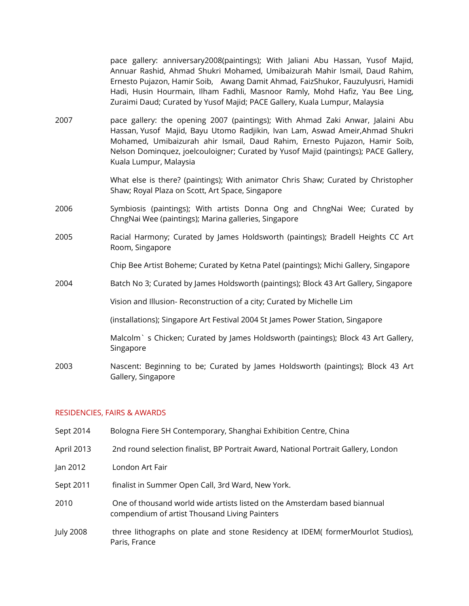pace gallery: anniversary2008(paintings); With Jaliani Abu Hassan, Yusof Majid, Annuar Rashid, Ahmad Shukri Mohamed, Umibaizurah Mahir Ismail, Daud Rahim, Ernesto Pujazon, Hamir Soib, Awang Damit Ahmad, FaizShukor, Fauzulyusri, Hamidi Hadi, Husin Hourmain, Ilham Fadhli, Masnoor Ramly, Mohd Hafiz, Yau Bee Ling, Zuraimi Daud; Curated by Yusof Majid; PACE Gallery, Kuala Lumpur, Malaysia

2007 pace gallery: the opening 2007 (paintings); With Ahmad Zaki Anwar, Jalaini Abu Hassan, Yusof Majid, Bayu Utomo Radjikin, Ivan Lam, Aswad Ameir,Ahmad Shukri Mohamed, Umibaizurah ahir Ismail, Daud Rahim, Ernesto Pujazon, Hamir Soib, Nelson Dominquez, joelcouloigner; Curated by Yusof Majid (paintings); PACE Gallery, Kuala Lumpur, Malaysia

> What else is there? (paintings); With animator Chris Shaw; Curated by Christopher Shaw; Royal Plaza on Scott, Art Space, Singapore

- 2006 Symbiosis (paintings); With artists Donna Ong and ChngNai Wee; Curated by ChngNai Wee (paintings); Marina galleries, Singapore
- 2005 Racial Harmony; Curated by James Holdsworth (paintings); Bradell Heights CC Art Room, Singapore

Chip Bee Artist Boheme; Curated by Ketna Patel (paintings); Michi Gallery, Singapore

2004 Batch No 3; Curated by James Holdsworth (paintings); Block 43 Art Gallery, Singapore

Vision and Illusion- Reconstruction of a city; Curated by Michelle Lim

(installations); Singapore Art Festival 2004 St James Power Station, Singapore

Malcolm` s Chicken; Curated by James Holdsworth (paintings); Block 43 Art Gallery, Singapore

2003 Nascent: Beginning to be; Curated by James Holdsworth (paintings); Block 43 Art Gallery, Singapore

### RESIDENCIES, FAIRS & AWARDS

- Sept 2014 Bologna Fiere SH Contemporary, Shanghai Exhibition Centre, China
- April 2013 2nd round selection finalist, BP Portrait Award, National Portrait Gallery, London
- Jan 2012 London Art Fair
- Sept 2011 finalist in Summer Open Call, 3rd Ward, New York.
- 2010 One of thousand world wide artists listed on the Amsterdam based biannual compendium of artist Thousand Living Painters
- July 2008 three lithographs on plate and stone Residency at IDEM( formerMourlot Studios), Paris, France